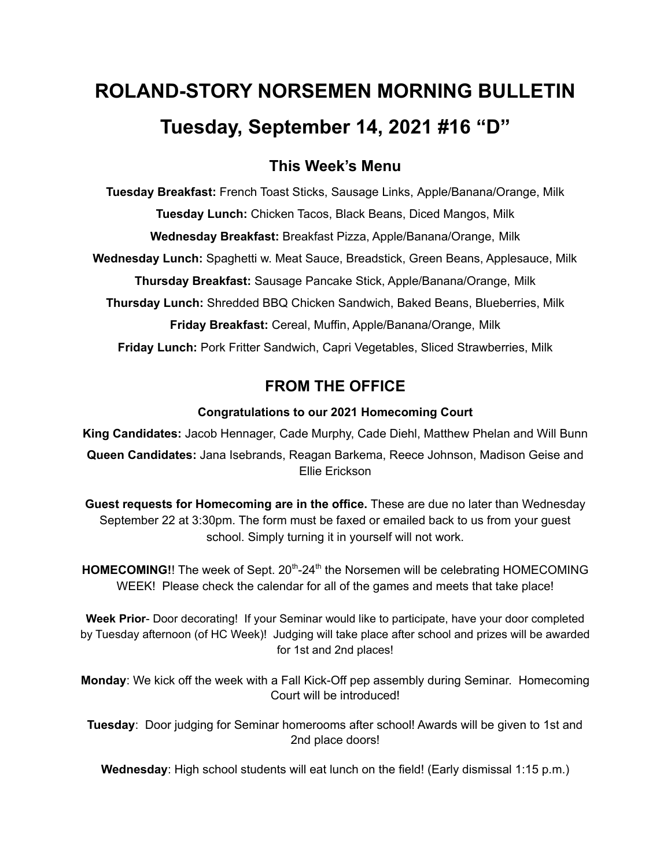# **ROLAND-STORY NORSEMEN MORNING BULLETIN Tuesday, September 14, 2021 #16 "D"**

# **This Week's Menu**

**Tuesday Breakfast:** French Toast Sticks, Sausage Links, Apple/Banana/Orange, Milk **Tuesday Lunch:** Chicken Tacos, Black Beans, Diced Mangos, Milk **Wednesday Breakfast:** Breakfast Pizza, Apple/Banana/Orange, Milk **Wednesday Lunch:** Spaghetti w. Meat Sauce, Breadstick, Green Beans, Applesauce, Milk **Thursday Breakfast:** Sausage Pancake Stick, Apple/Banana/Orange, Milk **Thursday Lunch:** Shredded BBQ Chicken Sandwich, Baked Beans, Blueberries, Milk **Friday Breakfast:** Cereal, Muffin, Apple/Banana/Orange, Milk **Friday Lunch:** Pork Fritter Sandwich, Capri Vegetables, Sliced Strawberries, Milk

# **FROM THE OFFICE**

## **Congratulations to our 2021 Homecoming Court**

**King Candidates:** Jacob Hennager, Cade Murphy, Cade Diehl, Matthew Phelan and Will Bunn **Queen Candidates:** Jana Isebrands, Reagan Barkema, Reece Johnson, Madison Geise and Ellie Erickson

**Guest requests for Homecoming are in the office.** These are due no later than Wednesday September 22 at 3:30pm. The form must be faxed or emailed back to us from your guest school. Simply turning it in yourself will not work.

HOMECOMING!! The week of Sept. 20<sup>th</sup>-24<sup>th</sup> the Norsemen will be celebrating HOMECOMING WEEK! Please check the calendar for all of the games and meets that take place!

**Week Prior**- Door decorating! If your Seminar would like to participate, have your door completed by Tuesday afternoon (of HC Week)! Judging will take place after school and prizes will be awarded for 1st and 2nd places!

**Monday**: We kick off the week with a Fall Kick-Off pep assembly during Seminar. Homecoming Court will be introduced!

**Tuesday**: Door judging for Seminar homerooms after school! Awards will be given to 1st and 2nd place doors!

**Wednesday**: High school students will eat lunch on the field! (Early dismissal 1:15 p.m.)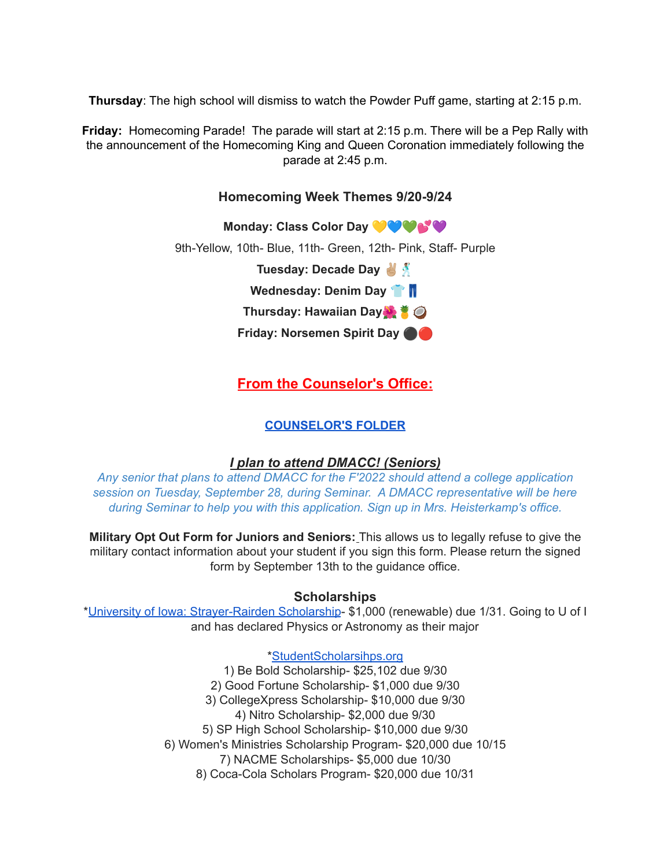**Thursday**: The high school will dismiss to watch the Powder Puff game, starting at 2:15 p.m.

**Friday:** Homecoming Parade! The parade will start at 2:15 p.m. There will be a Pep Rally with the announcement of the Homecoming King and Queen Coronation immediately following the parade at 2:45 p.m.

## **Homecoming Week Themes 9/20-9/24**

**Monday: Class Color Day** 9th-Yellow, 10th- Blue, 11th- Green, 12th- Pink, Staff- Purple **Tuesday: Decade Day Wednesday: Denim Day Thursday: Hawaiian Day Friday: Norsemen Spirit Day** ⚫️

# **From the Counselor's Office:**

## **[COUNSELOR'S](https://docs.google.com/document/d/1vmwczNPbDzXe9vFaG5LJMQ7NYDv-i4oQJHybqA65TUc/edit?usp=sharing) FOLDER**

## *I plan to attend DMACC! (Seniors)*

*Any senior that plans to attend DMACC for the F'2022 should attend a college application session on Tuesday, September 28, during Seminar. A DMACC representative will be here during Seminar to help you with this application. Sign up in Mrs. Heisterkamp's office.*

**Military Opt Out Form for Juniors and Seniors:** This allows us to legally refuse to give the military contact information about your student if you sign this form. Please return the signed form by September 13th to the guidance office.

#### **Scholarships**

\*University of Iowa: [Strayer-Rairden](https://drive.google.com/file/d/19dd2KrYVSWYKX2eleClYPvARc5_M10rR/view?usp=sharing) Scholarship- \$1,000 (renewable) due 1/31. Going to U of I and has declared Physics or Astronomy as their major

## [\\*StudentScholarsihps.org](https://drive.google.com/file/d/15_QGMs4o4nf-uHxHY58Ue31_w-7Qw42k/view?usp=sharing)

1) Be Bold Scholarship- \$25,102 due 9/30 2) Good Fortune Scholarship- \$1,000 due 9/30 3) CollegeXpress Scholarship- \$10,000 due 9/30 4) Nitro Scholarship- \$2,000 due 9/30 5) SP High School Scholarship- \$10,000 due 9/30 6) Women's Ministries Scholarship Program- \$20,000 due 10/15 7) NACME Scholarships- \$5,000 due 10/30 8) Coca-Cola Scholars Program- \$20,000 due 10/31